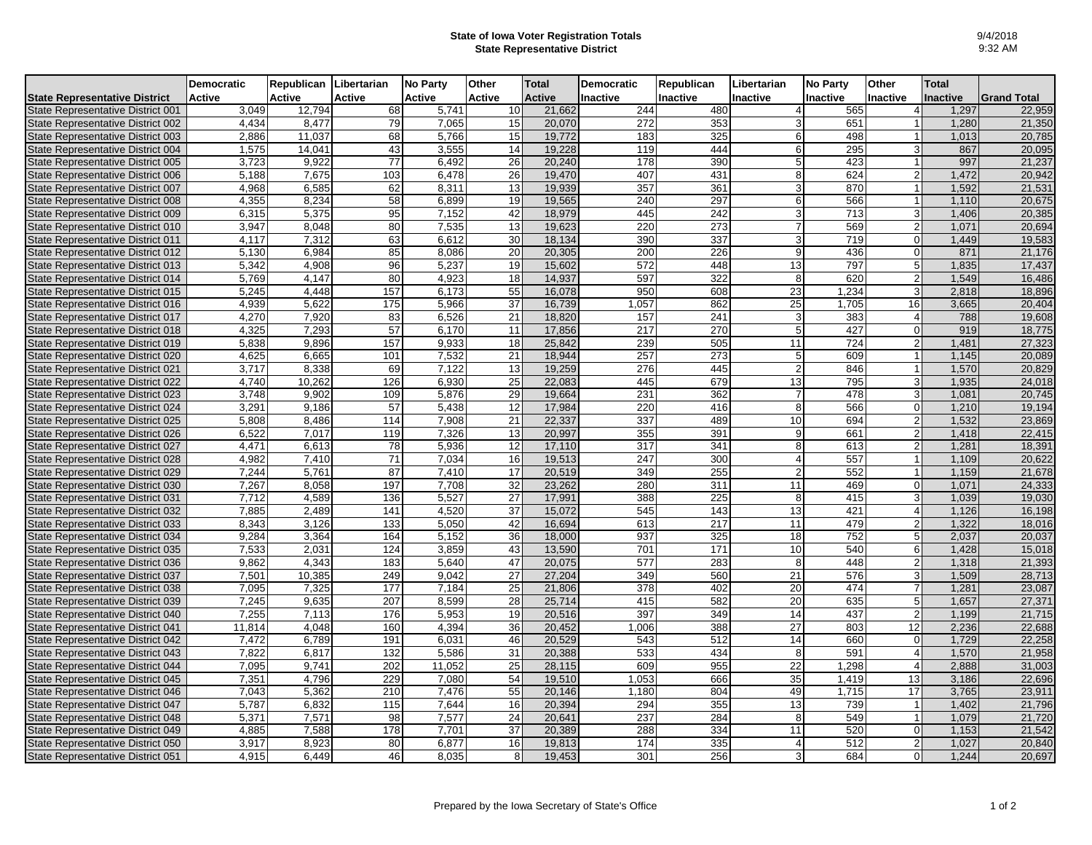## **State of Iowa Voter Registration Totals State Representative District**

|                                      | Democratic    | Republican Libertarian |               | <b>No Party</b> | Other           | <b>Total</b>  | Democratic      | Republican       | Libertarian     | <b>No Party</b> | Other          | <b>Total</b>    |                    |
|--------------------------------------|---------------|------------------------|---------------|-----------------|-----------------|---------------|-----------------|------------------|-----------------|-----------------|----------------|-----------------|--------------------|
| <b>State Representative District</b> | <b>Active</b> | Active                 | <b>Active</b> | <b>Active</b>   | Active          | <b>Active</b> | <b>Inactive</b> | Inactive         | <b>Inactive</b> | Inactive        | Inactive       | <b>Inactive</b> | <b>Grand Total</b> |
| State Representative District 001    | 3,049         | 12,794                 | 68            | 5,741           | 10              | 21,662        | 244             | 480              | 4               | 565             |                | 1,297           | 22,959             |
| State Representative District 002    | 4,434         | 8,477                  | 79            | 7,065           | 15              | 20,070        | 272             | 353              | 3               | 651             |                | 1,280           | 21,350             |
| State Representative District 003    | 2,886         | 11,037                 | 68            | 5,766           | 15              | 19,772        | 183             | 325              | 6               | 498             |                | 1,013           | 20,785             |
| State Representative District 004    | 1,575         | 14,041                 | 43            | 3,555           | 14              | 19,228        | 119             | 444              | 6               | 295             | 3              | 867             | 20,095             |
| State Representative District 005    | 3,723         | 9,922                  | 77            | 6,492           | 26              | 20,240        | 178             | 390              | 5               | 423             |                | 997             | 21,237             |
| State Representative District 006    | 5,188         | 7.675                  | 103           | 6.478           | 26              | 19.470        | 407             | 431              | 8               | 624             | $\mathfrak{p}$ | 1.472           | 20,942             |
| State Representative District 007    | 4,968         | 6,585                  | 62            | 8,311           | 13              | 19,939        | 357             | 361              | 3               | 870             |                | 1,592           | 21,531             |
| State Representative District 008    | 4,355         | 8,234                  | 58            | 6,899           | 19              | 19,565        | 240             | 297              | 6               | 566             |                | 1,110           | 20,675             |
| State Representative District 009    | 6,315         | 5,375                  | 95            | 7,152           | 42              | 18,979        | 445             | 242              | 3               | 713             | 3              | 1,406           | 20,385             |
| State Representative District 010    | 3,947         | 8.048                  | 80            | 7,535           | 13              | 19,623        | 220             | 273              |                 | 569             | $\mathcal{P}$  | 1.071           | 20,694             |
| State Representative District 011    | 4,117         | 7,312                  | 63            | 6.612           | 30              | 18,134        | 390             | 337              | 3               | 719             | $\Omega$       | 1,449           | 19,583             |
| State Representative District 012    | 5,130         | 6,984                  | 85            | 8,086           | 20              | 20,305        | 200             | 226              | 9               | 436             | $\Omega$       | 871             | 21,176             |
| State Representative District 013    | 5,342         | 4,908                  | 96            | 5,237           | 19              | 15,602        | 572             | 448              | 13              | 797             | 5 <sub>5</sub> | 1,835           | 17,437             |
| State Representative District 014    | 5,769         | 4,147                  | 80            | 4,923           | 18              | 14,937        | 597             | 322              | 8               | 620             | $\overline{2}$ | 1,549           | 16,486             |
| State Representative District 015    | 5,245         | 4,448                  | 157           | 6,173           | 55              | 16,078        | 950             | 608              | 23              | 1,234           | 3              | 2,818           | 18,896             |
| State Representative District 016    | 4,939         | 5,622                  | 175           | 5,966           | 37              | 16,739        | 1,057           | 862              | 25              | 1,705           | 16             | 3,665           | 20,404             |
| State Representative District 017    | 4,270         | 7,920                  | 83            | 6.526           | 21              | 18,820        | 157             | 241              | 3               | 383             | $\overline{4}$ | 788             | 19,608             |
| State Representative District 018    | 4,325         | 7,293                  | 57            | 6,170           | 11              | 17,856        | 217             | 270              | 5               | 427             | $\Omega$       | 919             | 18,775             |
| State Representative District 019    | 5,838         | 9,896                  | 157           | 9,933           | 18              | 25,842        | 239             | 505              | 11              | 724             | $\mathfrak{p}$ | 1,481           | 27,323             |
| State Representative District 020    | 4,625         | 6,665                  | 101           | 7,532           | $\overline{21}$ | 18,944        | 257             | $\overline{273}$ | 5               | 609             |                | 1,145           | 20,089             |
| State Representative District 021    | 3,717         | 8,338                  | 69            | 7,122           | 13              | 19,259        | 276             | 445              | $\mathfrak{p}$  | 846             |                | 1,570           | 20,829             |
| State Representative District 022    | 4,740         | 10,262                 | 126           | 6,930           | 25              | 22,083        | 445             | 679              | 13              | 795             | $\overline{3}$ | 1,935           | 24,018             |
| State Representative District 023    | 3,748         | 9,902                  | 109           | 5,876           | 29              | 19,664        | 231             | 362              | $\overline{7}$  | 478             | $\overline{3}$ | 1,081           | 20,745             |
| State Representative District 024    | 3,291         | 9,186                  | 57            | 5,438           | 12              | 17,984        | 220             | 416              | 8               | 566             | $\Omega$       | 1,210           | 19,194             |
| State Representative District 025    | 5,808         | 8,486                  | 114           | 7,908           | 21              | 22,337        | 337             | 489              | 10              | 694             | 2 <sub>l</sub> | 1,532           | 23,869             |
| State Representative District 026    | 6,522         | 7.017                  | 119           | 7.326           | 13              | 20,997        | 355             | 391              | 9               | 661             | $\overline{2}$ | 1.418           | 22,415             |
| State Representative District 027    | 4,471         | 6,613                  | 78            | 5,936           | 12              | 17,110        | 317             | 341              | 8               | 613             | $\overline{2}$ | 1,281           | 18,391             |
| State Representative District 028    | 4,982         | 7,410                  | 71            | 7,034           | 16              | 19,513        | 247             | 300              | $\overline{4}$  | 557             |                | 1,109           | 20,622             |
| State Representative District 029    | 7,244         | 5,761                  | 87            | 7,410           | 17              | 20,519        | 349             | 255              | $\overline{2}$  | 552             |                | 1,159           | 21,678             |
| State Representative District 030    | 7,267         | 8,058                  | 197           | 7,708           | 32              | 23,262        | 280             | 311              | 11              | 469             | $\Omega$       | 1,071           | 24,333             |
| State Representative District 031    | 7.712         | 4,589                  | 136           | 5.527           | 27              | 17,991        | 388             | 225              | 8               | 415             | $\overline{3}$ | 1.039           | 19,030             |
| State Representative District 032    | 7,885         | 2,489                  | 141           | 4,520           | 37              | 15,072        | 545             | 143              | 13              | 421             | $\overline{4}$ | 1,126           | 16,198             |
| State Representative District 033    | 8,343         | 3,126                  | 133           | 5,050           | 42              | 16,694        | 613             | 217              | 11              | 479             | $\overline{2}$ | 1,322           | 18,016             |
| State Representative District 034    | 9,284         | 3,364                  | 164           | 5,152           | 36              | 18,000        | 937             | 325              | 18              | 752             | 5 <sub>l</sub> | 2,037           | 20,037             |
| State Representative District 035    | 7,533         | 2,031                  | 124           | 3,859           | 43              | 13,590        | 701             | 171              | 10              | 540             | $6 \mid$       | 1,428           | 15,018             |
| State Representative District 036    | 9,862         | 4,343                  | 183           | 5.640           | 47              | 20,075        | 577             | 283              | 8               | 448             | 2 <sub>l</sub> | 1,318           | 21,393             |
| State Representative District 037    | 7,501         | 10,385                 | 249           | 9,042           | 27              | 27,204        | 349             | 560              | 21              | 576             | 3 <sup>1</sup> | 1,509           | 28,713             |
| State Representative District 038    | 7,095         | 7,325                  | 177           | 7.184           | 25              | 21,806        | 378             | 402              | 20              | 474             | $\overline{7}$ | 1,281           | 23,087             |
| State Representative District 039    | 7,245         | 9,635                  | 207           | 8,599           | 28              | 25,714        | 415             | 582              | 20              | 635             | 5 <sup>1</sup> | 1,657           | 27,371             |
| State Representative District 040    | 7,255         | 7,113                  | 176           | 5,953           | 19              | 20,516        | 397             | 349              | 14              | 437             | $\overline{2}$ | 1,199           | 21,715             |
| State Representative District 041    | 11,814        | 4,048                  | 160           | 4,394           | 36              | 20,452        | 1,006           | 388              | 27              | 803             | 12             | 2,236           | 22,688             |
| State Representative District 042    | 7,472         | 6,789                  | 191           | 6,031           | 46              | 20,529        | 543             | $\overline{512}$ | 14              | 660             | $\overline{0}$ | 1,729           | 22,258             |
| State Representative District 043    | 7,822         | 6,817                  | 132           | 5,586           | 31              | 20,388        | 533             | 434              | 8               | 591             | $\overline{4}$ | 1,570           | 21,958             |
| State Representative District 044    | 7,095         | 9,741                  | 202           | 11,052          | 25              | 28,115        | 609             | 955              | 22              | 1,298           | $\overline{4}$ | 2,888           | 31,003             |
| State Representative District 045    | 7,351         | 4,796                  | 229           | 7,080           | 54              | 19,510        | 1,053           | 666              | 35              | 1,419           | 13             | 3,186           | 22,696             |
| State Representative District 046    | 7,043         | 5,362                  | 210           | 7,476           | 55              | 20,146        | 1,180           | 804              | 49              | 1,715           | 17             | 3,765           | 23,911             |
| State Representative District 047    | 5,787         | 6,832                  | 115           | 7,644           | 16              | 20,394        | 294             | 355              | 13              | 739             | $\overline{1}$ | 1,402           | 21,796             |
| State Representative District 048    | 5,371         | 7,571                  | 98            | 7,577           | 24              | 20,641        | 237             | 284              | 8               | 549             |                | 1,079           | 21,720             |
| State Representative District 049    | 4,885         | 7,588                  | 178           | 7,701           | 37              | 20,389        | 288             | 334              | 11              | 520             | 0l             | 1,153           | 21,542             |
| State Representative District 050    | 3,917         | 8,923                  | 80            | 6,877           | 16              | 19,813        | 174             | 335              | $\overline{4}$  | 512             | $\overline{2}$ | 1,027           | 20,840             |
| State Representative District 051    | 4,915         | 6,449                  | 46            | 8,035           | 8               | 19,453        | 301             | 256              |                 | 684             | $\Omega$       | 1,244           | 20,697             |